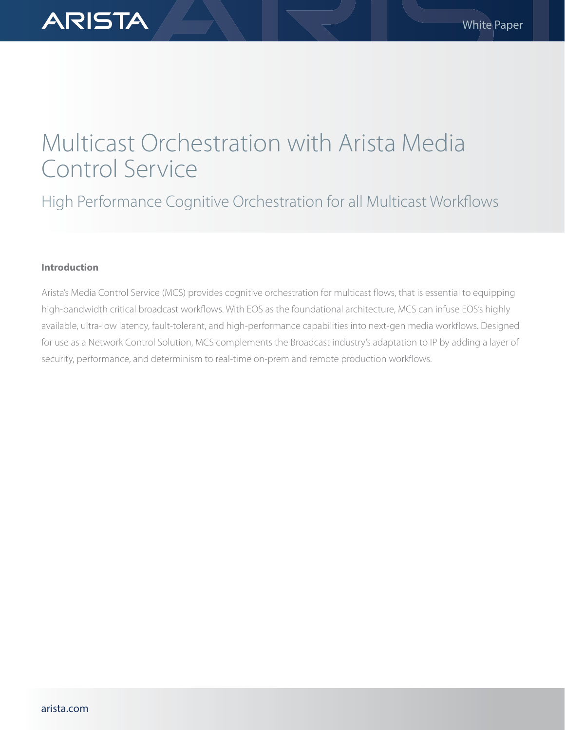# Multicast Orchestration with Arista Media Control Service

High Performance Cognitive Orchestration for all Multicast Workflows

# **Introduction**

**ARISTA** 

Arista's Media Control Service (MCS) provides cognitive orchestration for multicast flows, that is essential to equipping high-bandwidth critical broadcast workflows. With EOS as the foundational architecture, MCS can infuse EOS's highly available, ultra-low latency, fault-tolerant, and high-performance capabilities into next-gen media workflows. Designed for use as a Network Control Solution, MCS complements the Broadcast industry's adaptation to IP by adding a layer of security, performance, and determinism to real-time on-prem and remote production workflows.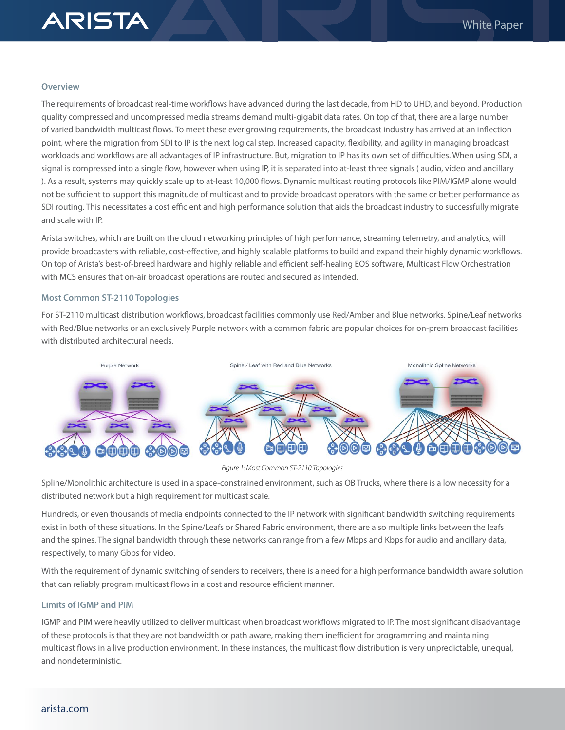

#### **Overview**

The requirements of broadcast real-time workflows have advanced during the last decade, from HD to UHD, and beyond. Production quality compressed and uncompressed media streams demand multi-gigabit data rates. On top of that, there are a large number of varied bandwidth multicast flows. To meet these ever growing requirements, the broadcast industry has arrived at an inflection point, where the migration from SDI to IP is the next logical step. Increased capacity, flexibility, and agility in managing broadcast workloads and workflows are all advantages of IP infrastructure. But, migration to IP has its own set of difficulties. When using SDI, a signal is compressed into a single flow, however when using IP, it is separated into at-least three signals ( audio, video and ancillary ). As a result, systems may quickly scale up to at-least 10,000 flows. Dynamic multicast routing protocols like PIM/IGMP alone would not be sufficient to support this magnitude of multicast and to provide broadcast operators with the same or better performance as SDI routing. This necessitates a cost efficient and high performance solution that aids the broadcast industry to successfully migrate and scale with IP.

Arista switches, which are built on the cloud networking principles of high performance, streaming telemetry, and analytics, will provide broadcasters with reliable, cost-effective, and highly scalable platforms to build and expand their highly dynamic workflows. On top of Arista's best-of-breed hardware and highly reliable and efficient self-healing EOS software, Multicast Flow Orchestration with MCS ensures that on-air broadcast operations are routed and secured as intended.

#### **Most Common ST-2110 Topologies**

For ST-2110 multicast distribution workflows, broadcast facilities commonly use Red/Amber and Blue networks. Spine/Leaf networks with Red/Blue networks or an exclusively Purple network with a common fabric are popular choices for on-prem broadcast facilities with distributed architectural needs.



#### *Figure 1: Most Common ST-2110 Topologies*

Spline/Monolithic architecture is used in a space-constrained environment, such as OB Trucks, where there is a low necessity for a distributed network but a high requirement for multicast scale.

Hundreds, or even thousands of media endpoints connected to the IP network with significant bandwidth switching requirements exist in both of these situations. In the Spine/Leafs or Shared Fabric environment, there are also multiple links between the leafs and the spines. The signal bandwidth through these networks can range from a few Mbps and Kbps for audio and ancillary data, respectively, to many Gbps for video.

With the requirement of dynamic switching of senders to receivers, there is a need for a high performance bandwidth aware solution that can reliably program multicast flows in a cost and resource efficient manner.

## **Limits of IGMP and PIM**

IGMP and PIM were heavily utilized to deliver multicast when broadcast workflows migrated to IP. The most significant disadvantage of these protocols is that they are not bandwidth or path aware, making them inefficient for programming and maintaining multicast flows in a live production environment. In these instances, the multicast flow distribution is very unpredictable, unequal, and nondeterministic.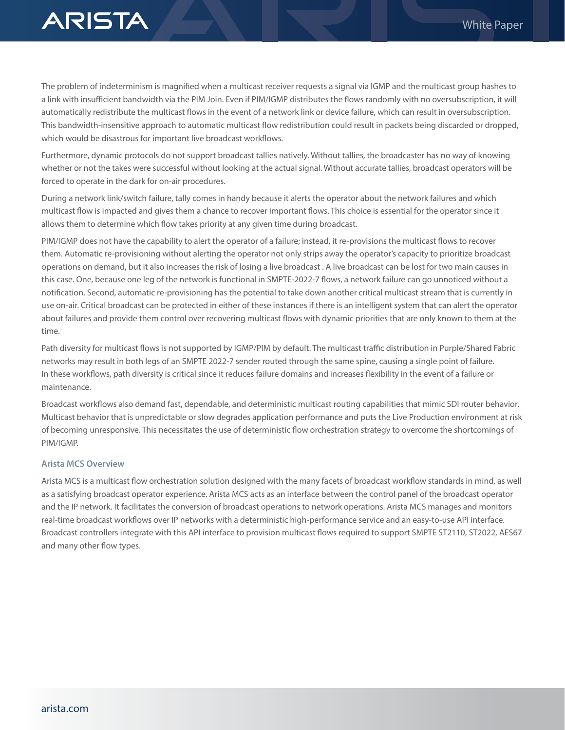

The problem of indeterminism is magnified when a multicast receiver requests a signal via IGMP and the multicast group hashes to a link with insufficient bandwidth via the PIM Join. Even if PIM/IGMP distributes the flows randomly with no oversubscription, it will automatically redistribute the multicast flows in the event of a network link or device failure, which can result in oversubscription. This bandwidth-insensitive approach to automatic multicast flow redistribution could result in packets being discarded or dropped, which would be disastrous for important live broadcast workflows.

Furthermore, dynamic protocols do not support broadcast tallies natively. Without tallies, the broadcaster has no way of knowing whether or not the takes were successful without looking at the actual signal. Without accurate tallies, broadcast operators will be forced to operate in the dark for on-air procedures.

During a network link/switch failure, tally comes in handy because it alerts the operator about the network failures and which multicast flow is impacted and gives them a chance to recover important flows. This choice is essential for the operator since it allows them to determine which flow takes priority at any given time during broadcast.

PIM/IGMP does not have the capability to alert the operator of a failure; instead, it re-provisions the multicast flows to recover them. Automatic re-provisioning without alerting the operator not only strips away the operator's capacity to prioritize broadcast operations on demand, but it also increases the risk of losing a live broadcast . A live broadcast can be lost for two main causes in this case. One, because one leg of the network is functional in SMPTE-2022-7 flows, a network failure can go unnoticed without a notification. Second, automatic re-provisioning has the potential to take down another critical multicast stream that is currently in use on-air. Critical broadcast can be protected in either of these instances if there is an intelligent system that can alert the operator about failures and provide them control over recovering multicast flows with dynamic priorities that are only known to them at the time.

Path diversity for multicast flows is not supported by IGMP/PIM by default. The multicast traffic distribution in Purple/Shared Fabric networks may result in both legs of an SMPTE 2022-7 sender routed through the same spine, causing a single point of failure. In these workflows, path diversity is critical since it reduces failure domains and increases flexibility in the event of a failure or maintenance.

Broadcast workflows also demand fast, dependable, and deterministic multicast routing capabilities that mimic SDI router behavior. Multicast behavior that is unpredictable or slow degrades application performance and puts the Live Production environment at risk of becoming unresponsive. This necessitates the use of deterministic flow orchestration strategy to overcome the shortcomings of PIM/IGMP.

# **Arista MCS Overview**

Arista MCS is a multicast flow orchestration solution designed with the many facets of broadcast workflow standards in mind, as well as a satisfying broadcast operator experience. Arista MCS acts as an interface between the control panel of the broadcast operator and the IP network. It facilitates the conversion of broadcast operations to network operations. Arista MCS manages and monitors real-time broadcast workflows over IP networks with a deterministic high-performance service and an easy-to-use API interface. Broadcast controllers integrate with this API interface to provision multicast flows required to support SMPTE ST2110, ST2022, AES67 and many other flow types.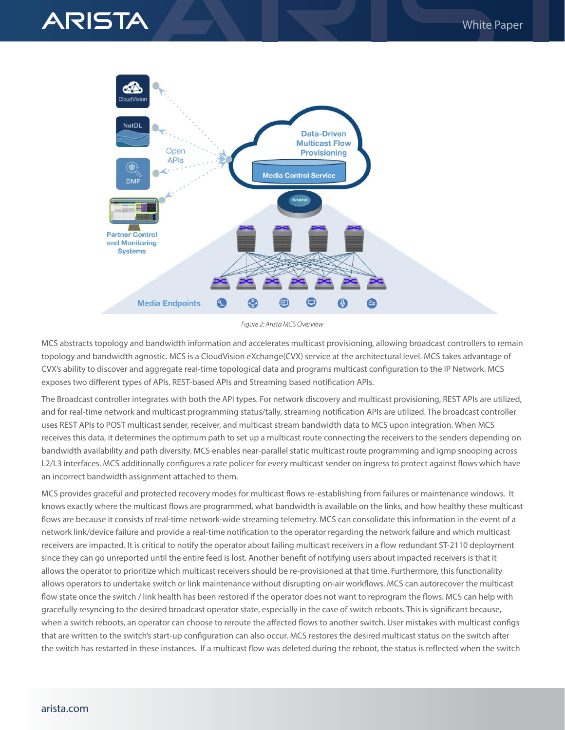



*Figure 2: Arista MCS Overview*

MCS abstracts topology and bandwidth information and accelerates multicast provisioning, allowing broadcast controllers to remain topology and bandwidth agnostic. MCS is a CloudVision eXchange(CVX) service at the architectural level. MCS takes advantage of CVX's ability to discover and aggregate real-time topological data and programs multicast configuration to the IP Network. MCS exposes two different types of APIs. REST-based APIs and Streaming based notification APIs.

The Broadcast controller integrates with both the API types. For network discovery and multicast provisioning, REST APIs are utilized, and for real-time network and multicast programming status/tally, streaming notification APIs are utilized. The broadcast controller uses REST APIs to POST multicast sender, receiver, and multicast stream bandwidth data to MCS upon integration. When MCS receives this data, it determines the optimum path to set up a multicast route connecting the receivers to the senders depending on bandwidth availability and path diversity. MCS enables near-parallel static multicast route programming and igmp snooping across L2/L3 interfaces. MCS additionally configures a rate policer for every multicast sender on ingress to protect against flows which have an incorrect bandwidth assignment attached to them.

MCS provides graceful and protected recovery modes for multicast flows re-establishing from failures or maintenance windows. It knows exactly where the multicast flows are programmed, what bandwidth is available on the links, and how healthy these multicast flows are because it consists of real-time network-wide streaming telemetry. MCS can consolidate this information in the event of a network link/device failure and provide a real-time notification to the operator regarding the network failure and which multicast receivers are impacted. It is critical to notify the operator about failing multicast receivers in a flow redundant ST-2110 deployment since they can go unreported until the entire feed is lost. Another benefit of notifying users about impacted receivers is that it allows the operator to prioritize which multicast receivers should be re-provisioned at that time. Furthermore, this functionality allows operators to undertake switch or link maintenance without disrupting on-air workflows. MCS can autorecover the multicast flow state once the switch / link health has been restored if the operator does not want to reprogram the flows. MCS can help with gracefully resyncing to the desired broadcast operator state, especially in the case of switch reboots. This is significant because, when a switch reboots, an operator can choose to reroute the affected flows to another switch. User mistakes with multicast configs that are written to the switch's start-up configuration can also occur. MCS restores the desired multicast status on the switch after the switch has restarted in these instances. If a multicast flow was deleted during the reboot, the status is reflected when the switch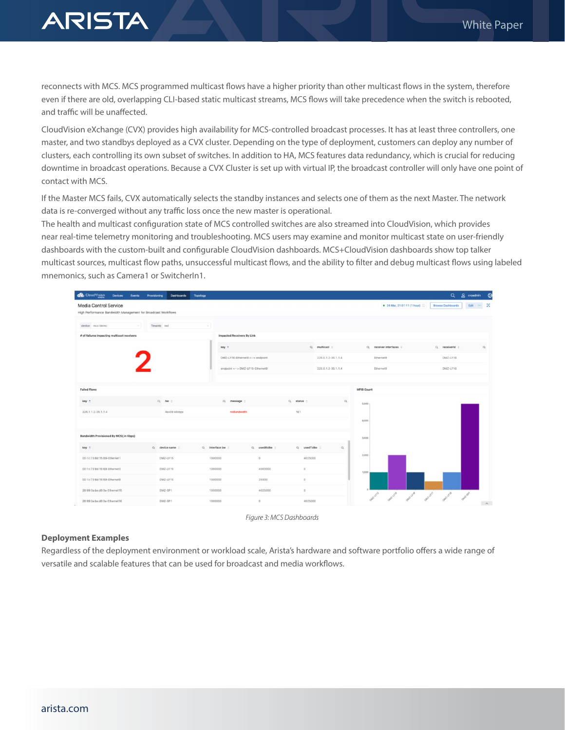

reconnects with MCS. MCS programmed multicast flows have a higher priority than other multicast flows in the system, therefore even if there are old, overlapping CLI-based static multicast streams, MCS flows will take precedence when the switch is rebooted, and traffic will be unaffected.

CloudVision eXchange (CVX) provides high availability for MCS-controlled broadcast processes. It has at least three controllers, one master, and two standbys deployed as a CVX cluster. Depending on the type of deployment, customers can deploy any number of clusters, each controlling its own subset of switches. In addition to HA, MCS features data redundancy, which is crucial for reducing downtime in broadcast operations. Because a CVX Cluster is set up with virtual IP, the broadcast controller will only have one point of contact with MCS.

If the Master MCS fails, CVX automatically selects the standby instances and selects one of them as the next Master. The network data is re-converged without any traffic loss once the new master is operational.

The health and multicast configuration state of MCS controlled switches are also streamed into CloudVision, which provides near real-time telemetry monitoring and troubleshooting. MCS users may examine and monitor multicast state on user-friendly dashboards with the custom-built and configurable CloudVision dashboards. MCS+CloudVision dashboards show top talker multicast sources, multicast flow paths, unsuccessful multicast flows, and the ability to filter and debug multicast flows using labeled mnemonics, such as Camera1 or SwitcherIn1.



*Figure 3: MCS Dashboards*

## **Deployment Examples**

Regardless of the deployment environment or workload scale, Arista's hardware and software portfolio offers a wide range of versatile and scalable features that can be used for broadcast and media workflows.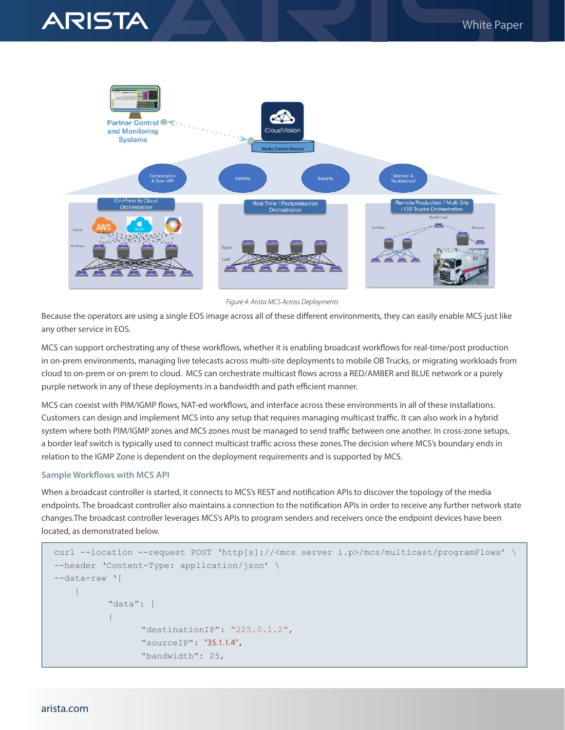



*Figure 4: Arista MCS Across Deployments*

Because the operators are using a single EOS image across all of these different environments, they can easily enable MCS just like any other service in EOS.

MCS can support orchestrating any of these workflows, whether it is enabling broadcast workflows for real-time/post production in on-prem environments, managing live telecasts across multi-site deployments to mobile OB Trucks, or migrating workloads from cloud to on-prem or on-prem to cloud. MCS can orchestrate multicast flows across a RED/AMBER and BLUE network or a purely purple network in any of these deployments in a bandwidth and path efficient manner.

MCS can coexist with PIM/IGMP flows, NAT-ed workflows, and interface across these environments in all of these installations. Customers can design and implement MCS into any setup that requires managing multicast traffic. It can also work in a hybrid system where both PIM/IGMP zones and MCS zones must be managed to send traffic between one another. In cross-zone setups, a border leaf switch is typically used to connect multicast traffic across these zones.The decision where MCS's boundary ends in relation to the IGMP Zone is dependent on the deployment requirements and is supported by MCS.

#### **Sample Workflows with MCS API**

When a broadcast controller is started, it connects to MCS's REST and notification APIs to discover the topology of the media endpoints. The broadcast controller also maintains a connection to the notification APIs in order to receive any further network state changes.The broadcast controller leverages MCS's APIs to program senders and receivers once the endpoint devices have been located, as demonstrated below.

```
curl --location --request POST 'http[s]://<mcs server i.p>/mcs/multicast/programFlows' \
--header 'Content-Type: application/json' \
--data-raw '[
    {
           "data": [
{f} "destinationIP": "225.0.1.2",
                  "sourceIP": "35.1.1.4",
                  "bandwidth": 25,
```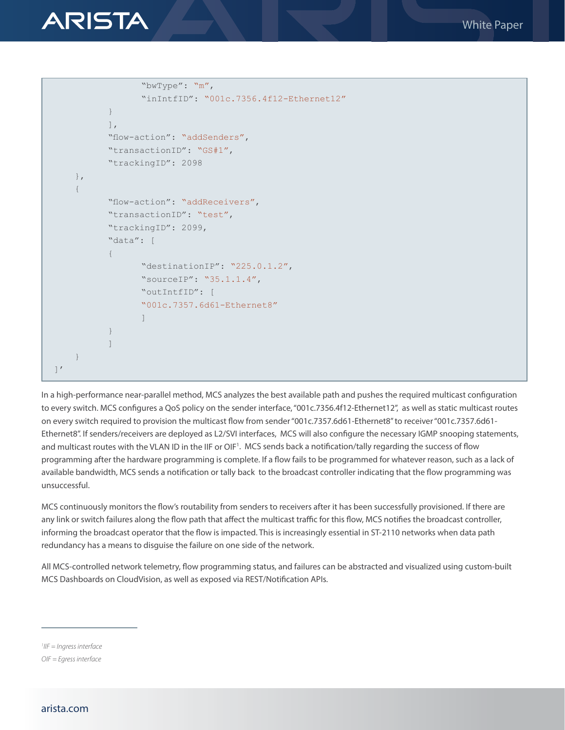

```
 "bwType": "m",
                            "inIntfID": "001c.7356.4f12-Ethernet12"
 }
                \left| \right|,
                 "flow-action": "addSenders",
                 "transactionID": "GS#1",
                 "trackingID": 2098
      },
      {
                 "flow-action": "addReceivers",
                 "transactionID": "test",
                 "trackingID": 2099,
                 "data": [
{f} "destinationIP": "225.0.1.2",
                           "sourceIP": "35.1.1.4",
                            "outIntfID": [
                            "001c.7357.6d61-Ethernet8"
\sim 100 \sim 100 \sim 100 \sim 100 \sim 100 \sim 100 \sim 100 \sim 100 \sim 100 \sim 100 \sim 100 \sim 100 \sim 100 \sim 100 \sim 100 \sim 100 \sim 100 \sim 100 \sim 100 \sim 100 \sim 100 \sim 100 \sim 100 \sim 100 \sim 
 }
 ]
      }
\left.\right] '
```
In a high-performance near-parallel method, MCS analyzes the best available path and pushes the required multicast configuration to every switch. MCS configures a QoS policy on the sender interface, "001c.7356.4f12-Ethernet12", as well as static multicast routes on every switch required to provision the multicast flow from sender "001c.7357.6d61-Ethernet8" to receiver "001c.7357.6d61- Ethernet8". If senders/receivers are deployed as L2/SVI interfaces, MCS will also configure the necessary IGMP snooping statements, and multicast routes with the VLAN ID in the IIF or OIF<sup>1</sup>. MCS sends back a notification/tally regarding the success of flow programming after the hardware programming is complete. If a flow fails to be programmed for whatever reason, such as a lack of available bandwidth, MCS sends a notification or tally back to the broadcast controller indicating that the flow programming was unsuccessful.

MCS continuously monitors the flow's routability from senders to receivers after it has been successfully provisioned. If there are any link or switch failures along the flow path that affect the multicast traffic for this flow, MCS notifies the broadcast controller, informing the broadcast operator that the flow is impacted. This is increasingly essential in ST-2110 networks when data path redundancy has a means to disguise the failure on one side of the network.

All MCS-controlled network telemetry, flow programming status, and failures can be abstracted and visualized using custom-built MCS Dashboards on CloudVision, as well as exposed via REST/Notification APIs.

*1 IIF = Ingress interface*

*OIF = Egress interface*